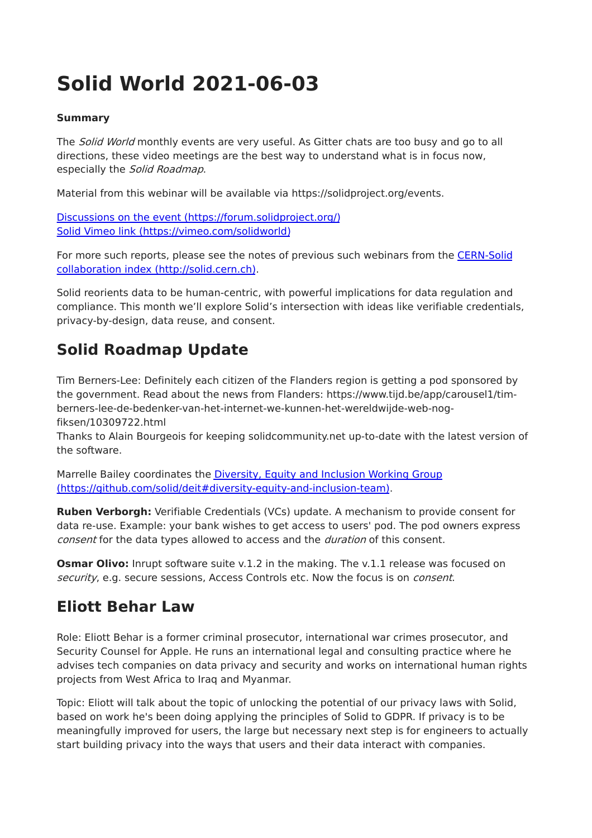# **Solid World 2021-06-03**

#### **Summary**

The Solid World monthly events are very useful. As Gitter chats are too busy and go to all directions, these video meetings are the best way to understand what is in focus now, especially the Solid Roadmap.

Material from this webinar will be available via https://solidproject.org/events.

Discussions on the event [\(https://forum.solidproject.org/\)](https://forum.solidproject.org/) Solid Vimeo link [\(https://vimeo.com/solidworld\)](https://vimeo.com/solidworld)

For more such reports, please see the notes of previous such webinars from the CERN-Solid collaboration index [\(http://solid.cern.ch\).](http://solid.cern.ch/)

Solid reorients data to be human-centric, with powerful implications for data regulation and compliance. This month we'll explore Solid's intersection with ideas like verifiable credentials, privacy-by-design, data reuse, and consent.

### **Solid Roadmap Update**

Tim Berners-Lee: Definitely each citizen of the Flanders region is getting a pod sponsored by the government. Read about the news from Flanders: https://www.tijd.be/app/carousel1/timberners-lee-de-bedenker-van-het-internet-we-kunnen-het-wereldwijde-web-nogfiksen/10309722.html

Thanks to Alain Bourgeois for keeping solidcommunity.net up-to-date with the latest version of the software.

Marrelle Bailey coordinates the Diversity, Equity and Inclusion Working Group [\(https://github.com/solid/deit#diversity-equity-and-inclusion-team\).](https://github.com/solid/deit#diversity-equity-and-inclusion-team)

**Ruben Verborgh:** Verifiable Credentials (VCs) update. A mechanism to provide consent for data re-use. Example: your bank wishes to get access to users' pod. The pod owners express consent for the data types allowed to access and the *duration* of this consent.

**Osmar Olivo:** Inrupt software suite v.1.2 in the making. The v.1.1 release was focused on security, e.g. secure sessions, Access Controls etc. Now the focus is on *consent*.

#### **Eliott Behar Law**

Role: Eliott Behar is a former criminal prosecutor, international war crimes prosecutor, and Security Counsel for Apple. He runs an international legal and consulting practice where he advises tech companies on data privacy and security and works on international human rights projects from West Africa to Iraq and Myanmar.

Topic: Eliott will talk about the topic of unlocking the potential of our privacy laws with Solid, based on work he's been doing applying the principles of Solid to GDPR. If privacy is to be meaningfully improved for users, the large but necessary next step is for engineers to actually start building privacy into the ways that users and their data interact with companies.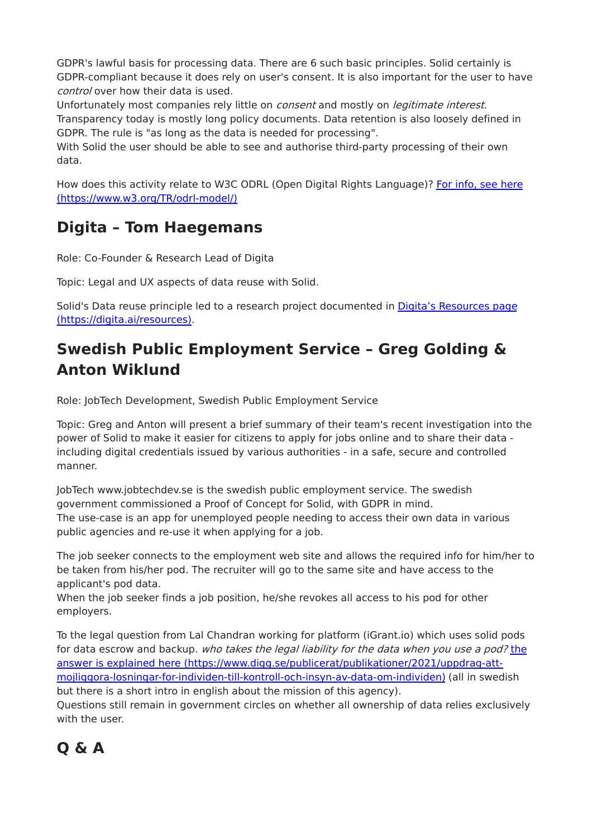GDPR's lawful basis for processing data. There are 6 such basic principles. Solid certainly is GDPR-compliant because it does rely on user's consent. It is also important for the user to have control over how their data is used.

Unfortunately most companies rely little on *consent* and mostly on *legitimate interest*. Transparency today is mostly long policy documents. Data retention is also loosely defined in GDPR. The rule is "as long as the data is needed for processing".

With Solid the user should be able to see and authorise third-party processing of their own data.

How does this activity relate to W3C ODRL (Open Digital Rights Language)? For info, see here [\(https://www.w3.org/TR/odrl-model/\)](https://www.w3.org/TR/odrl-model/)

#### **Digita – Tom Haegemans**

Role: Co-Founder & Research Lead of Digita

Topic: Legal and UX aspects of data reuse with Solid.

Solid's Data reuse principle led to a research project documented in Digita's Resources page [\(https://digita.ai/resources\).](https://digita.ai/resources)

## **Swedish Public Employment Service – Greg Golding & Anton Wiklund**

Role: JobTech Development, Swedish Public Employment Service

Topic: Greg and Anton will present a brief summary of their team's recent investigation into the power of Solid to make it easier for citizens to apply for jobs online and to share their data including digital credentials issued by various authorities - in a safe, secure and controlled manner.

JobTech www.jobtechdev.se is the swedish public employment service. The swedish government commissioned a Proof of Concept for Solid, with GDPR in mind. The use-case is an app for unemployed people needing to access their own data in various public agencies and re-use it when applying for a job.

The job seeker connects to the employment web site and allows the required info for him/her to be taken from his/her pod. The recruiter will go to the same site and have access to the applicant's pod data.

When the job seeker finds a job position, he/she revokes all access to his pod for other employers.

To the legal question from Lal Chandran working for platform (iGrant.io) which uses solid pods for data escrow and backup. who takes the legal liability for the data when you use a pod? the answer is explained here (https://www.digg.se/publicerat/publikationer/2021/uppdrag-att[mojliggora-losningar-for-individen-till-kontroll-och-insyn-av-data-om-individen\)](https://www.digg.se/publicerat/publikationer/2021/uppdrag-att-mojliggora-losningar-for-individen-till-kontroll-och-insyn-av-data-om-individen) (all in swedish but there is a short intro in english about the mission of this agency).

Questions still remain in government circles on whether all ownership of data relies exclusively with the user.

# **Q & A**